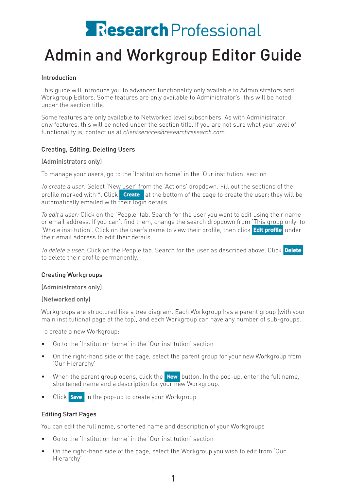# **Research** Professional

## Admin and Workgroup Editor Guide

### Introduction

This guide will introduce you to advanced functionality only available to Administrators and Workgroup Editors. Some features are only available to Administrator's; this will be noted under the section title.

Some features are only available to Networked level subscribers. As with Administrator only features, this will be noted under the section title. If you are not sure what your level of functionality is, contact us at *clientservices@researchresearch.com*

### Creating, Editing, Deleting Users

### (Administrators only)

To manage your users, go to the 'Institution home' in the 'Our institution' section

*To create a user:* Select 'New user' from the 'Actions' dropdown. Fill out the sections of the profile marked with \*. Click **Create** at the bottom of the page to create the user; they will be automatically emailed with their login details.

*To edit a user:* Click on the 'People' tab. Search for the user you want to edit using their name or email address. If you can't find them, change the search dropdown from 'This group only' to 'Whole institution'. Click on the user's name to view their profile, then click Edit profile under their email address to edit their details.

*To delete a user:* Click on the People tab. Search for the user as described above. Click to delete their profile permanently.

### Creating Workgroups

(Administrators only)

### (Networked only)

Workgroups are structured like a tree diagram. Each Workgroup has a parent group (with your main institutional page at the top), and each Workgroup can have any number of sub-groups.

To create a new Workgroup:

- Go to the 'Institution home' in the 'Our institution' section
- On the right-hand side of the page, select the parent group for your new Workgroup from 'Our Hierarchy'
- When the parent group opens, click the  $\frac{1}{2}$  New button. In the pop-up, enter the full name, shortened name and a description for your new Workgroup.
- Click **Save** in the pop-up to create your Workgroup

### Editing Start Pages

You can edit the full name, shortened name and description of your Workgroups

- • Go to the 'Institution home' in the 'Our institution' section
- On the right-hand side of the page, select the Workgroup you wish to edit from 'Our Hierarchy'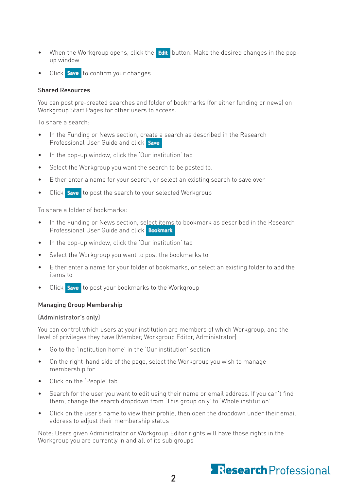- When the Workgroup opens, click the **Edit** button. Make the desired changes in the popup window
- Click **Save** to confirm your changes

### Shared Resources

You can post pre-created searches and folder of bookmarks (for either funding or news) on Workgroup Start Pages for other users to access.

To share a search:

- In the Funding or News section, create a search as described in the Research Professional User Guide and click Save
- • In the pop-up window, click the 'Our institution' tab
- • Select the Workgroup you want the search to be posted to.
- Either enter a name for your search, or select an existing search to save over
- Click **Save** to post the search to your selected Workgroup

To share a folder of bookmarks:

- In the Funding or News section, select items to bookmark as described in the Research Professional User Guide and click **Bookmark**
- In the pop-up window, click the 'Our institution' tab
- Select the Workgroup you want to post the bookmarks to
- Either enter a name for your folder of bookmarks, or select an existing folder to add the items to
- Click **Save** to post your bookmarks to the Workgroup

### Managing Group Membership

### (Administrator's only)

You can control which users at your institution are members of which Workgroup, and the level of privileges they have (Member, Workgroup Editor, Administrator)

- Go to the 'Institution home' in the 'Our institution' section
- On the right-hand side of the page, select the Workgroup you wish to manage membership for
- Click on the 'People' tab
- Search for the user you want to edit using their name or email address. If you can't find them, change the search dropdown from 'This group only' to 'Whole institution'
- Click on the user's name to view their profile, then open the dropdown under their email address to adjust their membership status

Note: Users given Administrator or Workgroup Editor rights will have those rights in the Workgroup you are currently in and all of its sub groups

### **Research** Professional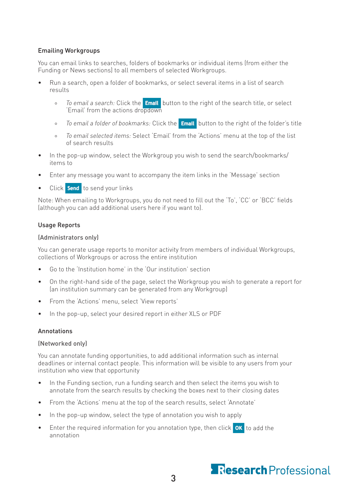### Emailing Workgroups

You can email links to searches, folders of bookmarks or individual items (from either the Funding or News sections) to all members of selected Workgroups.

- Run a search, open a folder of bookmarks, or select several items in a list of search results
	- <sup>o</sup> *To email a search:* Click the **Email** button to the right of the search title, or select 'Email' from the actions dropdown
	- <sup>o</sup> *To email a folder of bookmarks:* Click the **Email** button to the right of the folder's title
	- ° *To email selected items:* Select 'Email' from the 'Actions' menu at the top of the list of search results
- In the pop-up window, select the Workgroup you wish to send the search/bookmarks/ items to
- Enter any message you want to accompany the item links in the 'Message' section
- Click **Send** to send your links

Note: When emailing to Workgroups, you do not need to fill out the 'To', 'CC' or 'BCC' fields (although you can add additional users here if you want to).

### Usage Reports

### (Administrators only)

You can generate usage reports to monitor activity from members of individual Workgroups, collections of Workgroups or across the entire institution

- Go to the 'Institution home' in the 'Our institution' section
- On the right-hand side of the page, select the Workgroup you wish to generate a report for (an institution summary can be generated from any Workgroup)
- From the 'Actions' menu, select 'View reports'
- In the pop-up, select your desired report in either XLS or PDF

### Annotations

### (Networked only)

You can annotate funding opportunities, to add additional information such as internal deadlines or internal contact people. This information will be visible to any users from your institution who view that opportunity

- In the Funding section, run a funding search and then select the items you wish to annotate from the search results by checking the boxes next to their closing dates
- From the 'Actions' menu at the top of the search results, select 'Annotate'
- In the pop-up window, select the type of annotation you wish to apply
- Enter the required information for you annotation type, then click  $\overline{OK}$  to add the annotation

### Research Professional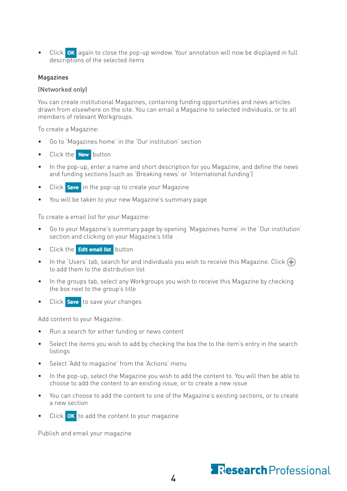• Click **OK** again to close the pop-up window. Your annotation will now be displayed in full descriptions of the selected items

### Magazines

#### (Networked only)

You can create institutional Magazines, containing funding opportunities and news articles drawn from elsewhere on the site. You can email a Magazine to selected individuals, or to all members of relevant Workgroups.

To create a Magazine:

- • Go to 'Magazines home' in the 'Our institution' section
- Click the **New** button
- In the pop-up, enter a name and short description for you Magazine, and define the news and funding sections (such as 'Breaking news' or 'International funding')
- Click **Save** in the pop-up to create your Magazine
- You will be taken to your new Magazine's summary page

To create a email list for your Magazine:

- Go to your Magazine's summary page by opening 'Magazines home' in the 'Our institution' section and clicking on your Magazine's title
- Click the Edit email list button
- In the 'Users' tab, search for and individuals you wish to receive this Magazine. Click  $\bigoplus$ to add them to the distribution list
- In the groups tab, select any Workgroups you wish to receive this Magazine by checking the box next to the group's title
- Click **Save** to save your changes

Add content to your Magazine:

- • Run a search for either funding or news content
- Select the items you wish to add by checking the box the to the item's entry in the search listings
- • Select 'Add to magazine' from the 'Actions' menu
- In the pop-up, select the Magazine you wish to add the content to. You will then be able to choose to add the content to an existing issue, or to create a new issue
- You can choose to add the content to one of the Magazine's existing sections, or to create a new section
- Click  $\overline{\text{OK}}$  to add the content to your magazine

Publish and email your magazine

### **Research** Professional